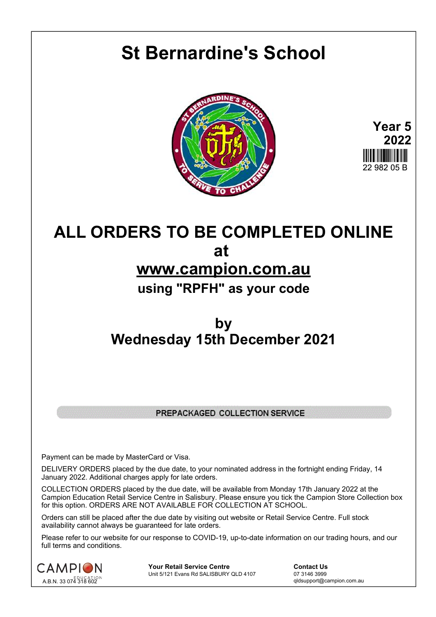## **St Bernardine's School**





## **ALL ORDERS TO BE COMPLETED ONLINE at www.campion.com.au using "RPFH" as your code**

## **by Wednesday 15th December 2021**

## PREPACKAGED COLLECTION SERVICE

Payment can be made by MasterCard or Visa.

DELIVERY ORDERS placed by the due date, to your nominated address in the fortnight ending Friday, 14 January 2022. Additional charges apply for late orders.

COLLECTION ORDERS placed by the due date, will be available from Monday 17th January 2022 at the Campion Education Retail Service Centre in Salisbury. Please ensure you tick the Campion Store Collection box for this option. ORDERS ARE NOT AVAILABLE FOR COLLECTION AT SCHOOL.

Orders can still be placed after the due date by visiting out website or Retail Service Centre. Full stock availability cannot always be guaranteed for late orders.

Please refer to our website for our response to COVID-19, up-to-date information on our trading hours, and our full terms and conditions.



**Your Retail Service Centre Contact Us**<br>
Unit 5/121 Evans Rd SALISBURY QLD 4107

07 3146 3999 Unit 5/121 Evans Rd SALISBURY QLD 4107

qldsupport@campion.com.au